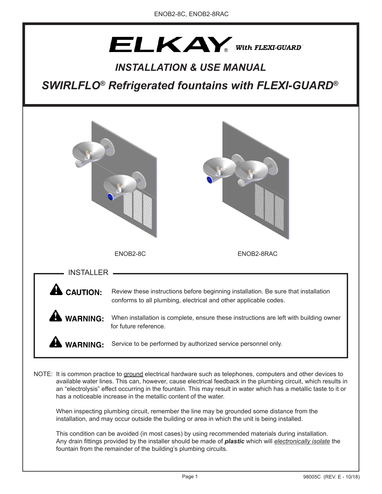# $ELKAY_{\tiny{\text{a}}}$  With FLEXI-GUARD

# *INSTALLATION & USE MANUAL*

*SWIRLFLO® Refrigerated fountains with FLEXI-GUARD®*



available water lines. This can, however, cause electrical feedback in the plumbing circuit, which results in an "electrolysis" effect occurring in the fountain. This may result in water which has a metallic taste to it or has a noticeable increase in the metallic content of the water.

When inspecting plumbing circuit, remember the line may be grounded some distance from the installation, and may occur outside the building or area in which the unit is being installed.

This condition can be avoided (in most cases) by using recommended materials during installation. Any drain fittings provided by the installer should be made of *plastic* which will *electronically isolate* the fountain from the remainder of the building's plumbing circuits.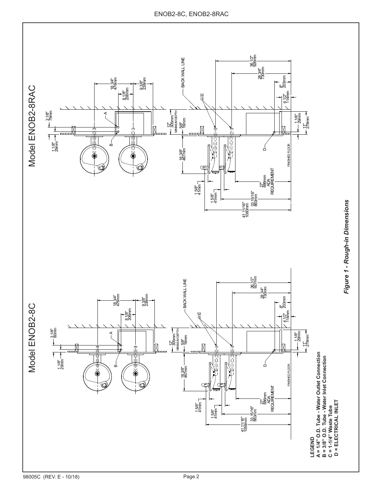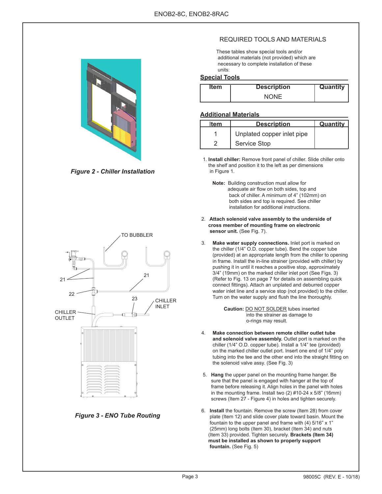

*Figure 2 - Chiller Installation*



*Figure 3 - ENO Tube Routing*

## REQUIRED TOOLS AND MATERIALS

 These tables show special tools and/or additional materials (not provided) which are necessary to complete installation of these units:

#### **Special Tools**

| Item | <b>Description</b> | <b>Quantity</b> |
|------|--------------------|-----------------|
|      | NONF               |                 |

#### **Additional Materials**

| ltem | <b>Description</b>         | Quantity |
|------|----------------------------|----------|
|      | Unplated copper inlet pipe |          |
|      | Service Stop               |          |

 1. **Install chiller:** Remove front panel of chiller. Slide chiller onto the shelf and position it to the left as per dimensions in Figure 1.

- **Note:** Building construction must allow for adequate air flow on both sides, top and back of chiller. A minimum of 4" (102mm) on both sides and top is required. See chiller installation for additional instructions.
- 2. **Attach solenoid valve assembly to the underside of cross member of mounting frame on electronic** sensor unit. (See Fig. 7).
- 3. **Make water supply connections.** Inlet port is marked on the chiller (1/4" O.D. copper tube). Bend the copper tube (provided) at an appropriate length from the chiller to opening in frame. Install the in-line strainer (provided with chiller) by pushing it in until it reaches a positive stop, approximately 3/4" (19mm) on the marked chiller inlet port (See Figs. 3) (Refer to Fig. 13 on page 7 for details on assembling quick connect fittings). Attach an unplated and deburred copper water inlet line and a service stop (not provided) to the chiller. Turn on the water supply and flush the line thoroughly.

**Caution:** DO NOT SOLDER tubes inserted into the strainer as damage to o-rings may result.

- 4. **Make connection between remote chiller outlet tube and solenoid valve assembly.** Outlet port is marked on the chiller (1/4" O.D. copper tube). Install a 1/4" tee (provided) on the marked chiller outlet port. Insert one end of 1/4" poly tubing into the tee and the other end into the straight fitting on the solenoid valve assy. (See Fig. 3)
- 5. **Hang** the upper panel on the mounting frame hanger. Be sure that the panel is engaged with hanger at the top of frame before releasing it. Align holes in the panel with holes in the mounting frame. Install two (2) #10-24 x 5/8" (16mm) screws (Item 27 - Figure 4) in holes and tighten securely.
- 6. **Install** the fountain. Remove the screw (Item 28) from cover plate (Item 12) and slide cover plate toward basin. Mount the fountain to the upper panel and frame with (4) 5/16" x 1" (25mm) long bolts (Item 30), bracket (Item 34) and nuts (Item 33) provided. Tighten securely. **Brackets (Item 34) must be installed as shown to properly support fountain.** (See Fig. 5)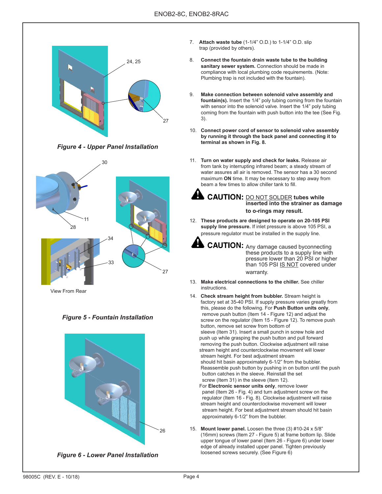

*Figure 4 - Upper Panel Installation*



View From Rear





*Figure 6 - Lower Panel Installation*

- 7. **Attach waste tube** (1-1/4" O.D.) to 1-1/4" O.D. slip trap (provided by others).
- 8. **Connect the fountain drain waste tube to the building**  sanitary sewer system. Connection should be made in compliance with local plumbing code requirements. (Note: Plumbing trap is not included with the fountain).
- 9. **Make connection between solenoid valve assembly and fountain(s).** Insert the 1/4" poly tubing coming from the fountain with sensor into the solenoid valve. Insert the 1/4" poly tubing coming from the fountain with push button into the tee (See Fig. 3).
- 10. **Connect power cord of sensor to solenoid valve assembly by running it through the back panel and connecting it to terminal as shown in Fig. 8.**
- 11. **Turn on water supply and check for leaks.** Release air from tank by interrupting infrared beam; a steady stream of water assures all air is removed. The sensor has a 30 second maximum **ON** time. It may be necessary to step away from beam a few times to allow chiller tank to fill.
	- **CAUTION: DO NOT SOLDER tubes while inserted into the strainer as damage to o-rings may result.**
- 12. **These products are designed to operate on 20-105 PSI supply line pressure.** If inlet pressure is above 105 PSI, a pressure regulator must be installed in the supply line.
	- **CAUTION:** Any damage caused byconnecting these products to a supply line with pressure lower than 20 PSI or higher than 105 PSI IS NOT covered under warranty.
- 13. **Make electrical connections to the chiller.** See chiller **instructions**
- 14. **Check stream height from bubbler.** Stream height is factory set at 35-40 PSI. If supply pressure varies greatly from this, please do the following. For **Push Button units only**, remove push button (Item 14 - Figure 12) and adjust the screw on the regulator (Item 15 - Figure 12). To remove push button, remove set screw from bottom of sleeve (Item 31). Insert a small punch in screw hole and push up while grasping the push button and pull forward removing the push button. Clockwise adjustment will raise stream height and counterclockwise movement will lower stream height. For best adjustment stream should hit basin approximately 6-1/2" from the bubbler. Reassemble push button by pushing in on button until the push button catches in the sleeve. Reinstall the set screw (Item 31) in the sleeve (Item 12). For **Electronic sensor units only**, remove lower
	- panel (Item 26 Fig. 4) and turn adjustment screw on the regulator (Item 16 - Fig. 8). Clockwise adjustment will raise stream height and counterclockwise movement will lower stream height. For best adjustment stream should hit basin approximately 6-1/2" from the bubbler.
- 15. **Mount lower panel.** Loosen the three (3) #10-24 x 5/8" (16mm) screws (Item 27 - Figure 5) at frame bottom lip. Slide upper tongue of lower panel (Item 26 - Figure 6) under lower edge of already installed upper panel. Tighten previously loosened screws securely. (See Figure 6)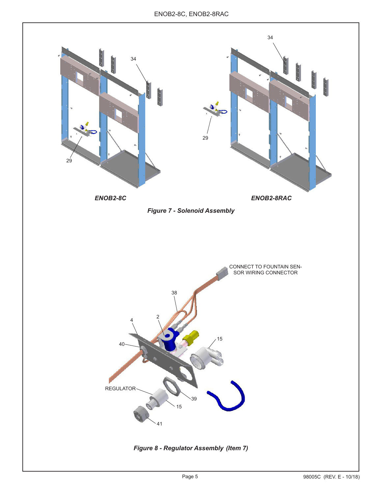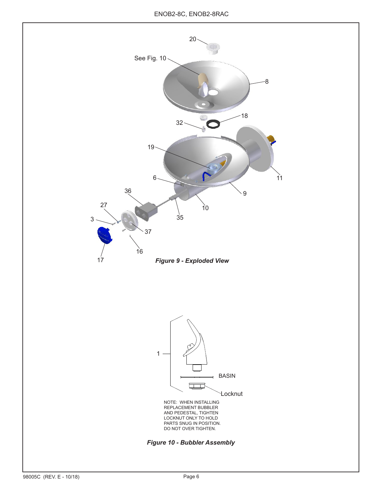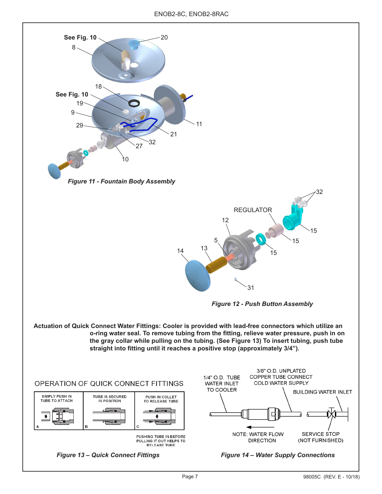